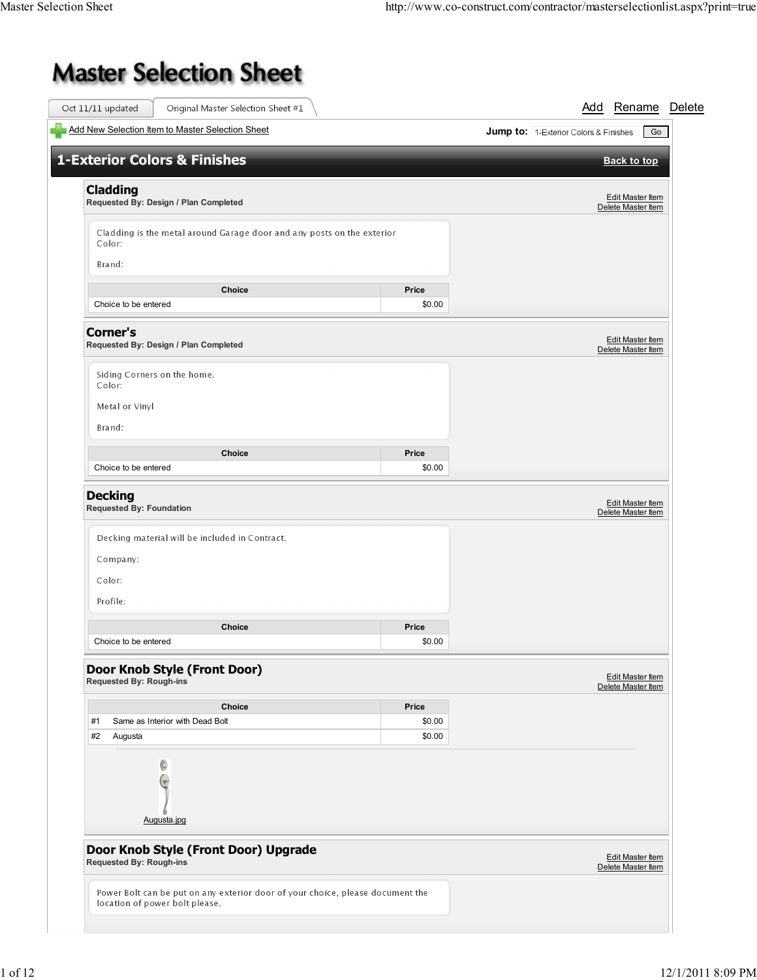## **Master Selection Sheet**

| Add New Selection Item to Master Selection Sheet                                 |        | <b>Jump to:</b> 1-Exterior Colors & Finishes<br>Go |
|----------------------------------------------------------------------------------|--------|----------------------------------------------------|
|                                                                                  |        |                                                    |
| <b>1-Exterior Colors &amp; Finishes</b>                                          |        | <b>Back to top</b>                                 |
| <b>Cladding</b><br>Requested By: Design / Plan Completed                         |        | Edit Master Item<br>Delete Master Item             |
|                                                                                  |        |                                                    |
| Cladding is the metal around Garage door and any posts on the exterior<br>Color: |        |                                                    |
| Brand:                                                                           |        |                                                    |
| <b>Choice</b>                                                                    | Price  |                                                    |
| Choice to be entered                                                             | \$0.00 |                                                    |
| <b>Corner's</b><br>Requested By: Design / Plan Completed                         |        | <b>Edit Master Item</b><br>Delete Master Item      |
| Siding Corners on the home.<br>Color:                                            |        |                                                    |
| Metal or Vinyl                                                                   |        |                                                    |
| Brand:                                                                           |        |                                                    |
| Choice                                                                           | Price  |                                                    |
| Choice to be entered                                                             | \$0.00 |                                                    |
| Decking material will be included in Contract.<br>Company:<br>Color:<br>Profile: |        |                                                    |
| Choice                                                                           | Price  |                                                    |
| Choice to be entered                                                             | \$0.00 |                                                    |
| Door Knob Style (Front Door)<br>Requested By: Rough-ins                          |        | Edit Master Item<br>Delete Master Item             |
| Choice                                                                           | Price  |                                                    |
| #1<br>Same as Interior with Dead Bolt                                            | \$0.00 |                                                    |
| #2<br>Augusta                                                                    | \$0.00 |                                                    |
| C<br>$(\mathbf{v})$<br>Augusta.jpg                                               |        |                                                    |
| Door Knob Style (Front Door) Upgrade                                             |        |                                                    |
| Requested By: Rough-ins                                                          |        | <b>Edit Master Item</b><br>Delete Master Item      |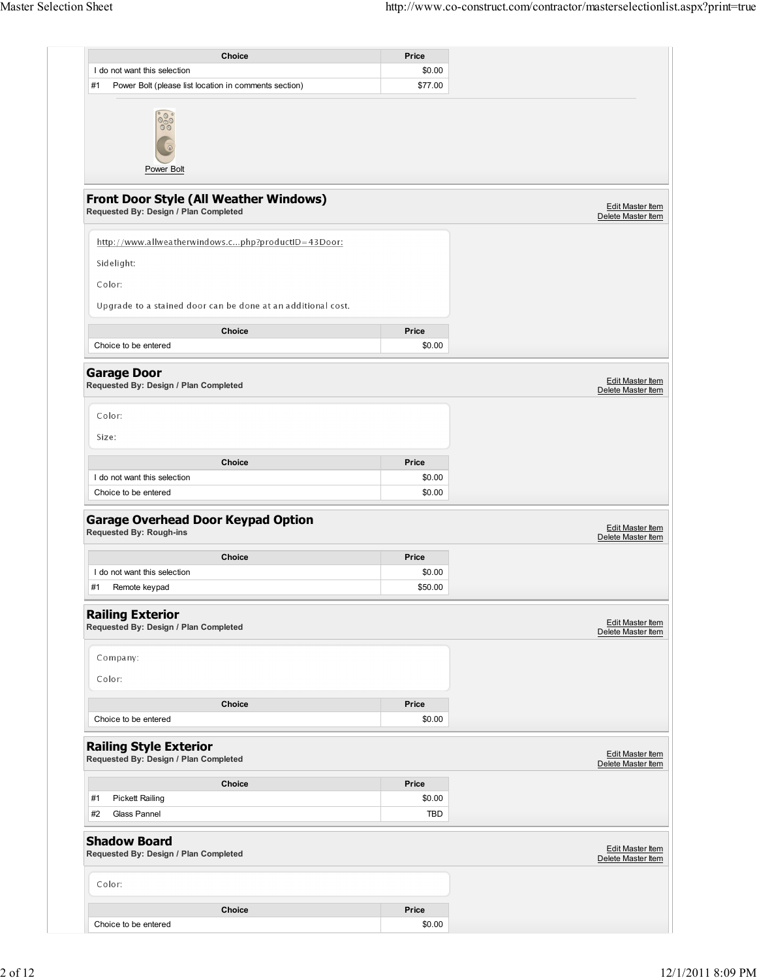| <b>Choice</b>                                                                          | Price      |                                               |
|----------------------------------------------------------------------------------------|------------|-----------------------------------------------|
| I do not want this selection                                                           | \$0.00     |                                               |
| #1<br>Power Bolt (please list location in comments section)                            | \$77.00    |                                               |
| $\frac{88}{900}$<br>Power Bolt                                                         |            |                                               |
| <b>Front Door Style (All Weather Windows)</b><br>Requested By: Design / Plan Completed |            | <b>Edit Master Item</b><br>Delete Master Item |
| http://www.allweatherwindows.cphp?productID=43Door:                                    |            |                                               |
| Sidelight:                                                                             |            |                                               |
| Color:                                                                                 |            |                                               |
| Upgrade to a stained door can be done at an additional cost.                           |            |                                               |
| Choice                                                                                 | Price      |                                               |
| Choice to be entered                                                                   | \$0.00     |                                               |
| <b>Garage Door</b><br>Requested By: Design / Plan Completed                            |            | <b>Edit Master Item</b><br>Delete Master Item |
| Color:                                                                                 |            |                                               |
| Size:                                                                                  |            |                                               |
| Choice                                                                                 | Price      |                                               |
| I do not want this selection                                                           | \$0.00     |                                               |
| Choice to be entered                                                                   | \$0.00     |                                               |
| <b>Garage Overhead Door Keypad Option</b><br><b>Requested By: Rough-ins</b>            |            | Edit Master Item<br>Delete Master Item        |
| <b>Choice</b>                                                                          | Price      |                                               |
| I do not want this selection                                                           | \$0.00     |                                               |
| #1<br>Remote keypad                                                                    | \$50.00    |                                               |
| <b>Railing Exterior</b><br>Requested By: Design / Plan Completed                       |            | Edit Master Item<br>Delete Master Item        |
| Company:<br>Color:                                                                     |            |                                               |
| Choice                                                                                 | Price      |                                               |
| Choice to be entered                                                                   | \$0.00     |                                               |
| <b>Railing Style Exterior</b><br>Requested By: Design / Plan Completed                 |            | Edit Master Item<br>Delete Master Item        |
| <b>Choice</b>                                                                          | Price      |                                               |
| #1<br><b>Pickett Railing</b>                                                           | \$0.00     |                                               |
| Glass Pannel<br>#2                                                                     | <b>TBD</b> |                                               |
| <b>Shadow Board</b><br>Requested By: Design / Plan Completed                           |            | <b>Edit Master Item</b><br>Delete Master Item |
| Color:                                                                                 |            |                                               |
| Choice                                                                                 | Price      |                                               |
| Choice to be entered                                                                   | \$0.00     |                                               |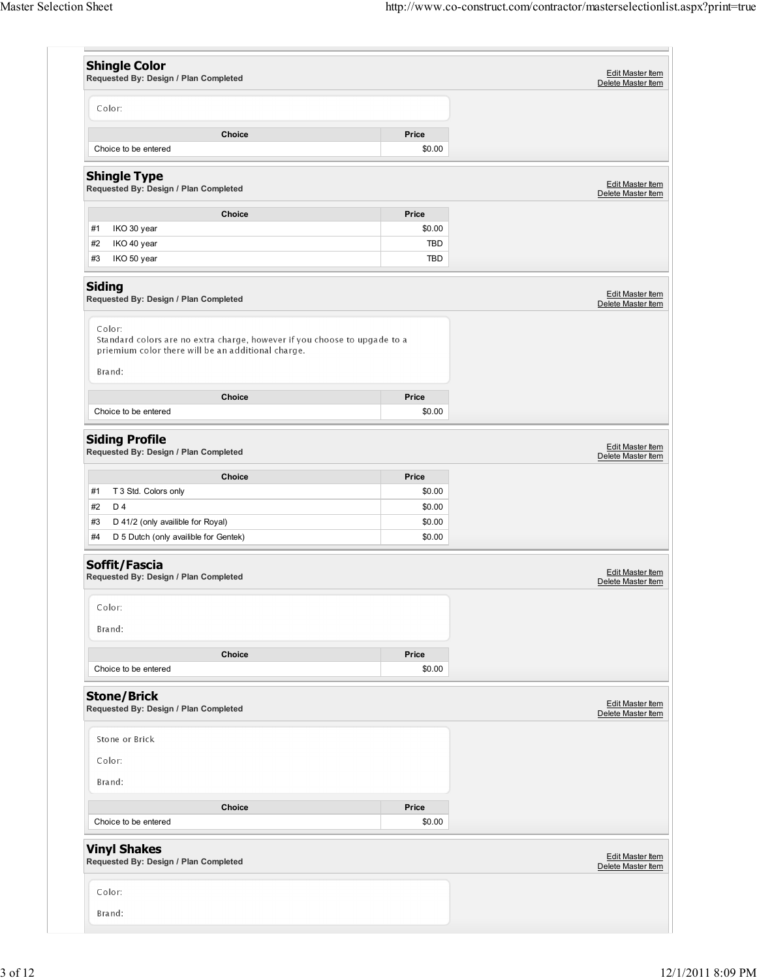|               | <b>Shingle Color</b>                                                                                                            |                  | Edit Master Item                              |
|---------------|---------------------------------------------------------------------------------------------------------------------------------|------------------|-----------------------------------------------|
|               | Requested By: Design / Plan Completed                                                                                           |                  | Delete Master Item                            |
|               | Color:                                                                                                                          |                  |                                               |
|               | Choice                                                                                                                          | Price            |                                               |
|               | Choice to be entered                                                                                                            | \$0.00           |                                               |
|               | <b>Shingle Type</b><br>Requested By: Design / Plan Completed                                                                    |                  | <b>Edit Master Item</b><br>Delete Master Item |
|               | Choice                                                                                                                          | Price            |                                               |
| #1            | IKO 30 year                                                                                                                     | \$0.00           |                                               |
| #2<br>#3      | IKO 40 year<br>IKO 50 year                                                                                                      | TBD<br>TBD       |                                               |
|               |                                                                                                                                 |                  |                                               |
| <b>Siding</b> | Requested By: Design / Plan Completed                                                                                           |                  | Edit Master Item<br>Delete Master Item        |
|               | Color:                                                                                                                          |                  |                                               |
|               | Standard colors are no extra charge, however if you choose to upgade to a<br>priemium color there will be an additional charge. |                  |                                               |
|               | Brand:                                                                                                                          |                  |                                               |
|               | Choice                                                                                                                          | Price            |                                               |
|               | Choice to be entered                                                                                                            | \$0.00           |                                               |
|               |                                                                                                                                 |                  |                                               |
|               | <b>Siding Profile</b><br>Requested By: Design / Plan Completed                                                                  |                  | Edit Master Item<br>Delete Master Item        |
|               | Choice                                                                                                                          | Price            |                                               |
| #1            | T 3 Std. Colors only                                                                                                            | \$0.00           |                                               |
| #2<br>#3      | D 4<br>D 41/2 (only availible for Royal)                                                                                        | \$0.00<br>\$0.00 |                                               |
| #4            | D 5 Dutch (only availible for Gentek)                                                                                           | \$0.00           |                                               |
|               |                                                                                                                                 |                  |                                               |
|               | Soffit/Fascia<br>Requested By: Design / Plan Completed                                                                          |                  | <b>Edit Master Item</b><br>Delete Master Item |
|               | Color:                                                                                                                          |                  |                                               |
|               |                                                                                                                                 |                  |                                               |
|               | Brand:                                                                                                                          |                  |                                               |
|               | Choice                                                                                                                          | Price            |                                               |
|               | Choice to be entered                                                                                                            | \$0.00           |                                               |
|               | <b>Stone/Brick</b>                                                                                                              |                  |                                               |
|               | Requested By: Design / Plan Completed                                                                                           |                  | Edit Master Item<br>Delete Master Item        |
|               | Stone or Brick                                                                                                                  |                  |                                               |
|               | Color:                                                                                                                          |                  |                                               |
|               | Brand:                                                                                                                          |                  |                                               |
|               |                                                                                                                                 |                  |                                               |
|               | Choice<br>Choice to be entered                                                                                                  | Price<br>\$0.00  |                                               |
|               |                                                                                                                                 |                  |                                               |
|               |                                                                                                                                 |                  |                                               |
|               | <b>Vinyl Shakes</b><br>Requested By: Design / Plan Completed                                                                    |                  |                                               |
|               | Color:                                                                                                                          |                  | Edit Master Item<br>Delete Master Item        |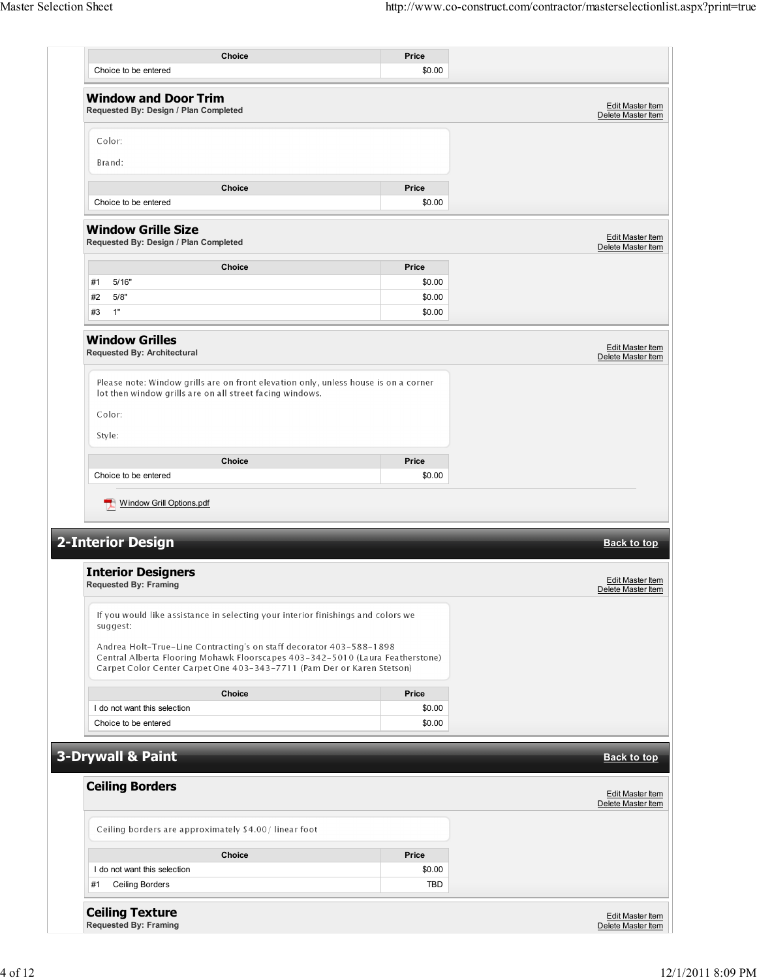| Choice<br>Choice to be entered<br><b>Window and Door Trim</b><br>Requested By: Design / Plan Completed                                                                                                                         | Price           |                                        |
|--------------------------------------------------------------------------------------------------------------------------------------------------------------------------------------------------------------------------------|-----------------|----------------------------------------|
|                                                                                                                                                                                                                                | \$0.00          |                                        |
|                                                                                                                                                                                                                                |                 |                                        |
|                                                                                                                                                                                                                                |                 | Edit Master Item<br>Delete Master Item |
| Color:                                                                                                                                                                                                                         |                 |                                        |
| Brand:                                                                                                                                                                                                                         |                 |                                        |
|                                                                                                                                                                                                                                |                 |                                        |
| Choice                                                                                                                                                                                                                         | Price           |                                        |
| Choice to be entered                                                                                                                                                                                                           | \$0.00          |                                        |
| <b>Window Grille Size</b><br>Requested By: Design / Plan Completed                                                                                                                                                             |                 | Edit Master Item<br>Delete Master Item |
| Choice                                                                                                                                                                                                                         | Price           |                                        |
| 5/16"<br>#1                                                                                                                                                                                                                    | \$0.00          |                                        |
| 5/8"<br>#2                                                                                                                                                                                                                     | \$0.00          |                                        |
| 1"<br>#3                                                                                                                                                                                                                       | \$0.00          |                                        |
| <b>Window Grilles</b><br><b>Requested By: Architectural</b>                                                                                                                                                                    |                 | Edit Master Item<br>Delete Master Item |
| Please note: Window grills are on front elevation only, unless house is on a corner<br>lot then window grills are on all street facing windows.                                                                                |                 |                                        |
| Color:<br>Style:                                                                                                                                                                                                               |                 |                                        |
|                                                                                                                                                                                                                                |                 |                                        |
| <b>Choice</b><br>Choice to be entered<br>Window Grill Options.pdf                                                                                                                                                              | Price<br>\$0.00 |                                        |
|                                                                                                                                                                                                                                |                 | <b>Back to top</b>                     |
|                                                                                                                                                                                                                                |                 | Edit Master Item<br>Delete Master Item |
| If you would like assistance in selecting your interior finishings and colors we<br>suggest:                                                                                                                                   |                 |                                        |
| Andrea Holt-True-Line Contracting's on staff decorator 403-588-1898<br>Central Alberta Flooring Mohawk Floorscapes 403-342-5010 (Laura Featherstone)<br>Carpet Color Center Carpet One 403-343-7711 (Pam Der or Karen Stetson) |                 |                                        |
| <b>2-Interior Design</b><br><b>Interior Designers</b><br><b>Requested By: Framing</b><br><b>Choice</b>                                                                                                                         | Price           |                                        |
| I do not want this selection                                                                                                                                                                                                   | \$0.00          |                                        |
| Choice to be entered                                                                                                                                                                                                           | \$0.00          |                                        |
|                                                                                                                                                                                                                                |                 |                                        |
| 3-Drywall & Paint                                                                                                                                                                                                              |                 | <b>Back to top</b>                     |
| <b>Ceiling Borders</b>                                                                                                                                                                                                         |                 | Edit Master Item<br>Delete Master Item |
| Ceiling borders are approximately \$4.00/linear foot                                                                                                                                                                           |                 |                                        |
| <b>Choice</b>                                                                                                                                                                                                                  | Price           |                                        |
| I do not want this selection                                                                                                                                                                                                   | \$0.00          |                                        |
| Ceiling Borders<br>#1                                                                                                                                                                                                          | <b>TBD</b>      |                                        |
| <b>Ceiling Texture</b>                                                                                                                                                                                                         |                 |                                        |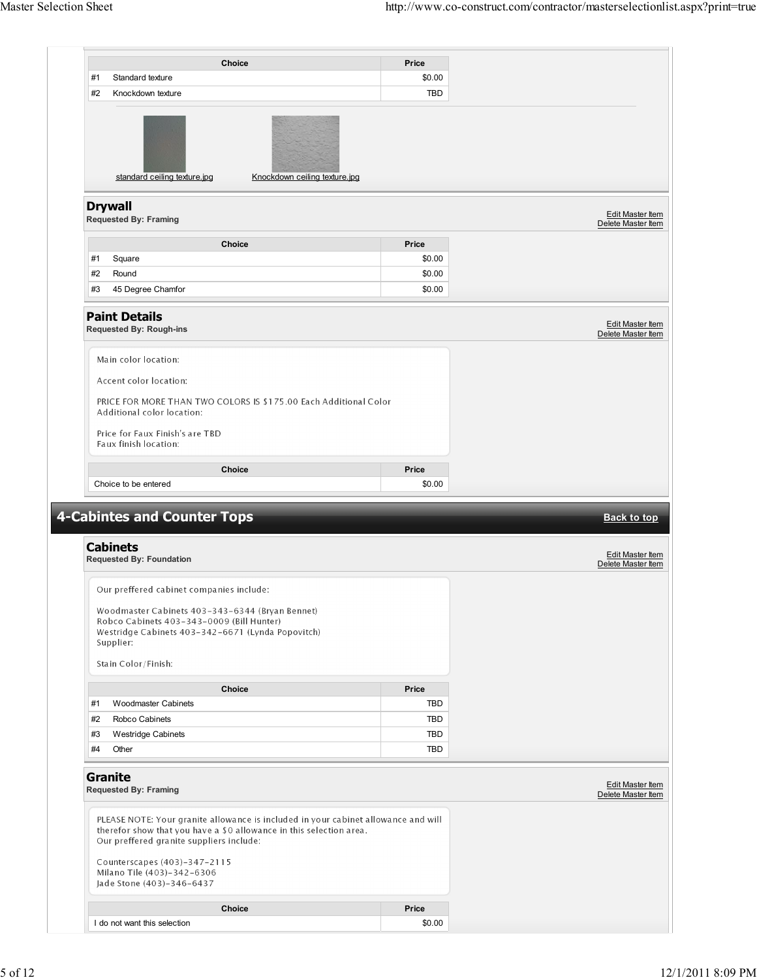|    |                                                                                                                                                                | <b>Choice</b>                                                                                                                                             | Price           |                                                                                                        |
|----|----------------------------------------------------------------------------------------------------------------------------------------------------------------|-----------------------------------------------------------------------------------------------------------------------------------------------------------|-----------------|--------------------------------------------------------------------------------------------------------|
| #1 | Standard texture                                                                                                                                               |                                                                                                                                                           | \$0.00          |                                                                                                        |
| #2 | Knockdown texture                                                                                                                                              |                                                                                                                                                           | TBD             |                                                                                                        |
|    | standard ceiling texture.jpg                                                                                                                                   | Knockdown ceiling texture.jpg                                                                                                                             |                 |                                                                                                        |
|    | <b>Drywall</b><br><b>Requested By: Framing</b>                                                                                                                 |                                                                                                                                                           |                 | Edit Master Item<br>Delete Master Item                                                                 |
|    |                                                                                                                                                                | Choice                                                                                                                                                    | Price           |                                                                                                        |
| #1 | Square                                                                                                                                                         |                                                                                                                                                           | \$0.00          |                                                                                                        |
| #2 | Round                                                                                                                                                          |                                                                                                                                                           | \$0.00          |                                                                                                        |
| #3 | 45 Degree Chamfor                                                                                                                                              |                                                                                                                                                           | \$0.00          |                                                                                                        |
|    | <b>Paint Details</b><br><b>Requested By: Rough-ins</b>                                                                                                         |                                                                                                                                                           |                 | Edit Master Item<br>Delete Master Item                                                                 |
|    | Main color location:<br>Accent color location:                                                                                                                 |                                                                                                                                                           |                 |                                                                                                        |
|    | Additional color location:<br>Price for Faux Finish's are TBD<br>Faux finish location:                                                                         | PRICE FOR MORE THAN TWO COLORS IS \$175.00 Each Additional Color                                                                                          |                 |                                                                                                        |
|    |                                                                                                                                                                |                                                                                                                                                           |                 |                                                                                                        |
|    |                                                                                                                                                                |                                                                                                                                                           |                 |                                                                                                        |
|    | Choice to be entered                                                                                                                                           | <b>Choice</b>                                                                                                                                             | Price<br>\$0.00 |                                                                                                        |
|    | <b>4-Cabintes and Counter Tops</b><br><b>Cabinets</b>                                                                                                          |                                                                                                                                                           |                 |                                                                                                        |
|    | <b>Requested By: Foundation</b>                                                                                                                                |                                                                                                                                                           |                 |                                                                                                        |
|    | Our preffered cabinet companies include:                                                                                                                       |                                                                                                                                                           |                 |                                                                                                        |
|    | Woodmaster Cabinets 403-343-6344 (Bryan Bennet)<br>Robco Cabinets 403-343-0009 (Bill Hunter)<br>Westridge Cabinets 403-342-6671 (Lynda Popovitch)<br>Supplier: |                                                                                                                                                           |                 |                                                                                                        |
|    | Stain Color/Finish:                                                                                                                                            |                                                                                                                                                           |                 |                                                                                                        |
|    |                                                                                                                                                                | Choice                                                                                                                                                    | Price           |                                                                                                        |
| #1 | Woodmaster Cabinets                                                                                                                                            |                                                                                                                                                           | TBD             |                                                                                                        |
| #2 | Robco Cabinets                                                                                                                                                 |                                                                                                                                                           | TBD             |                                                                                                        |
| #3 | <b>Westridge Cabinets</b>                                                                                                                                      |                                                                                                                                                           | TBD             |                                                                                                        |
| #4 | Other                                                                                                                                                          |                                                                                                                                                           | TBD             |                                                                                                        |
|    | <b>Granite</b><br><b>Requested By: Framing</b>                                                                                                                 |                                                                                                                                                           |                 |                                                                                                        |
|    | Our preffered granite suppliers include:<br>Counterscapes (403)-347-2115                                                                                       | PLEASE NOTE: Your granite allowance is included in your cabinet allowance and will<br>therefor show that you have a \$0 allowance in this selection area. |                 |                                                                                                        |
|    | Milano Tile (403)-342-6306<br>Jade Stone (403)-346-6437                                                                                                        |                                                                                                                                                           |                 | <b>Back to top</b><br>Edit Master Item<br>Delete Master Item<br>Edit Master Item<br>Delete Master Item |
|    |                                                                                                                                                                | Choice                                                                                                                                                    | Price           |                                                                                                        |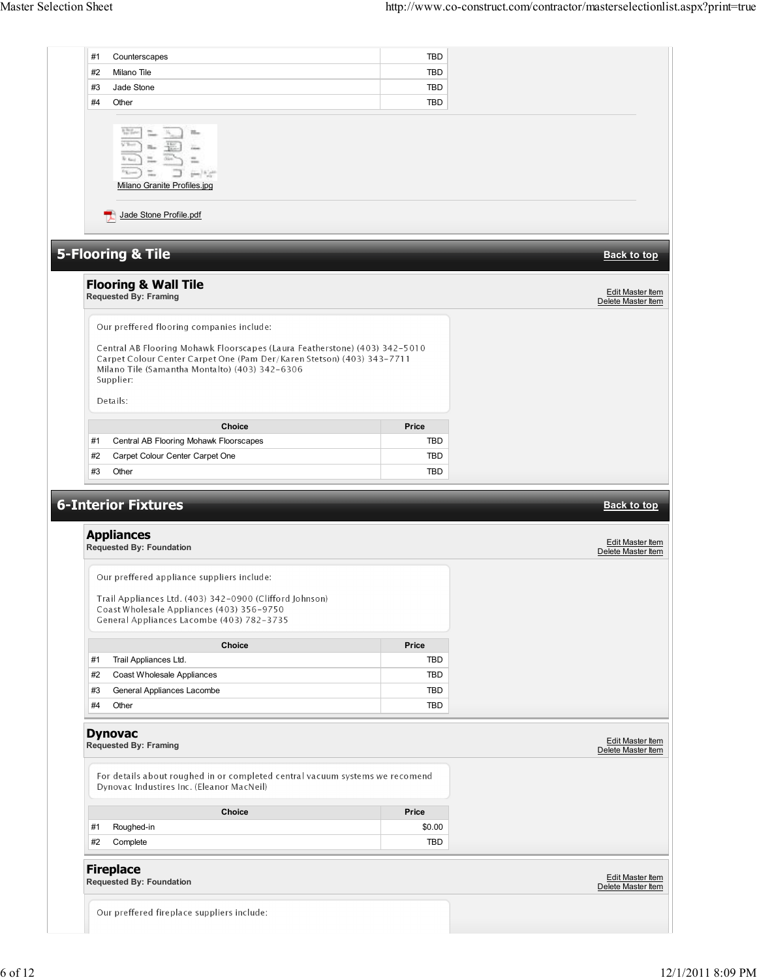| #1       | Counterscapes                                                                                                                                                                                                                                                                | TBD                      |                                        |
|----------|------------------------------------------------------------------------------------------------------------------------------------------------------------------------------------------------------------------------------------------------------------------------------|--------------------------|----------------------------------------|
| #2       | Milano Tile                                                                                                                                                                                                                                                                  | TBD                      |                                        |
| #3       | Jade Stone                                                                                                                                                                                                                                                                   | <b>TBD</b>               |                                        |
| #4       | Other                                                                                                                                                                                                                                                                        | <b>TBD</b>               |                                        |
|          | Milano Granite Profiles.jpg                                                                                                                                                                                                                                                  |                          |                                        |
|          | Jade Stone Profile.pdf<br>ъ                                                                                                                                                                                                                                                  |                          |                                        |
|          | <b>5-Flooring &amp; Tile</b>                                                                                                                                                                                                                                                 |                          | <b>Back to top</b>                     |
|          | <b>Flooring &amp; Wall Tile</b><br><b>Requested By: Framing</b>                                                                                                                                                                                                              |                          | Edit Master Item<br>Delete Master Item |
|          | Our preffered flooring companies include:<br>Central AB Flooring Mohawk Floorscapes (Laura Featherstone) (403) 342-5010<br>Carpet Colour Center Carpet One (Pam Der/Karen Stetson) (403) 343-7711<br>Milano Tile (Samantha Montalto) (403) 342-6306<br>Supplier:<br>Details: |                          |                                        |
|          |                                                                                                                                                                                                                                                                              |                          |                                        |
|          |                                                                                                                                                                                                                                                                              |                          |                                        |
|          | <b>Choice</b>                                                                                                                                                                                                                                                                | Price                    |                                        |
| #1       | Central AB Flooring Mohawk Floorscapes                                                                                                                                                                                                                                       | TBD                      |                                        |
| #2<br>#3 | Carpet Colour Center Carpet One<br>Other<br><b>6-Interior Fixtures</b>                                                                                                                                                                                                       | <b>TBD</b><br><b>TBD</b> | <b>Back to top</b>                     |
|          | <b>Appliances</b>                                                                                                                                                                                                                                                            |                          | Edit Master Item                       |
|          | <b>Requested By: Foundation</b>                                                                                                                                                                                                                                              |                          | Delete Master Item                     |
|          | Our preffered appliance suppliers include:<br>Trail Appliances Ltd. (403) 342-0900 (Clifford Johnson)<br>Coast Wholesale Appliances (403) 356-9750<br>General Appliances Lacombe (403) 782-3735                                                                              |                          |                                        |
|          | Choice                                                                                                                                                                                                                                                                       | Price                    |                                        |
| #1       | Trail Appliances Ltd.                                                                                                                                                                                                                                                        | <b>TBD</b>               |                                        |
| #2       | Coast Wholesale Appliances                                                                                                                                                                                                                                                   | <b>TBD</b>               |                                        |
| #3       | General Appliances Lacombe                                                                                                                                                                                                                                                   | <b>TBD</b>               |                                        |
| #4       | Other                                                                                                                                                                                                                                                                        | TBD                      |                                        |
|          | <b>Dynovac</b><br><b>Requested By: Framing</b>                                                                                                                                                                                                                               |                          | Edit Master Item<br>Delete Master Item |
|          | For details about roughed in or completed central vacuum systems we recomend<br>Dynovac Industires Inc. (Eleanor MacNeil)                                                                                                                                                    |                          |                                        |
|          | Choice                                                                                                                                                                                                                                                                       | Price                    |                                        |
| #1       | Roughed-in                                                                                                                                                                                                                                                                   | \$0.00                   |                                        |
| #2       | Complete                                                                                                                                                                                                                                                                     | TBD                      |                                        |
|          | <b>Fireplace</b><br><b>Requested By: Foundation</b>                                                                                                                                                                                                                          |                          | Edit Master Item<br>Delete Master Item |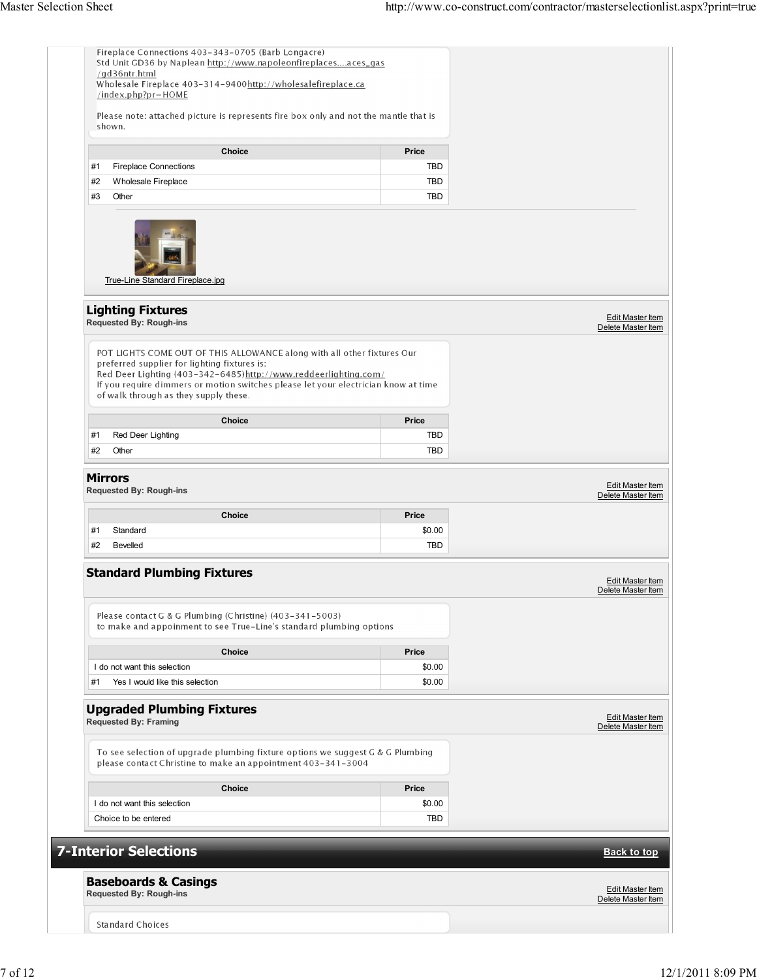|    | Please note: attached picture is represents fire box only and not the mantle that is<br>shown.                                                                                                                                                                                                                             |            |                                        |
|----|----------------------------------------------------------------------------------------------------------------------------------------------------------------------------------------------------------------------------------------------------------------------------------------------------------------------------|------------|----------------------------------------|
|    | <b>Choice</b>                                                                                                                                                                                                                                                                                                              | Price      |                                        |
| #1 | <b>Fireplace Connections</b>                                                                                                                                                                                                                                                                                               | <b>TBD</b> |                                        |
| #2 | Wholesale Fireplace                                                                                                                                                                                                                                                                                                        | TBD        |                                        |
| #3 | Other                                                                                                                                                                                                                                                                                                                      | TBD        |                                        |
|    | True-Line Standard Fireplace.jpg                                                                                                                                                                                                                                                                                           |            |                                        |
|    | <b>Lighting Fixtures</b><br><b>Requested By: Rough-ins</b>                                                                                                                                                                                                                                                                 |            | Edit Master Item<br>Delete Master Item |
|    | POT LIGHTS COME OUT OF THIS ALLOWANCE along with all other fixtures Our<br>preferred supplier for lighting fixtures is:<br>Red Deer Lighting (403-342-6485) http://www.reddeerlighting.com/<br>If you require dimmers or motion switches please let your electrician know at time<br>of walk through as they supply these. |            |                                        |
|    | <b>Choice</b>                                                                                                                                                                                                                                                                                                              | Price      |                                        |
| #1 | Red Deer Lighting                                                                                                                                                                                                                                                                                                          | <b>TBD</b> |                                        |
| #2 | Other                                                                                                                                                                                                                                                                                                                      | TBD        |                                        |
|    | <b>Requested By: Rough-ins</b><br><b>Choice</b>                                                                                                                                                                                                                                                                            | Price      | Delete Master Item                     |
| #1 | Standard                                                                                                                                                                                                                                                                                                                   | \$0.00     |                                        |
| #2 | <b>Bevelled</b>                                                                                                                                                                                                                                                                                                            | TBD        |                                        |
|    |                                                                                                                                                                                                                                                                                                                            |            |                                        |
|    | <b>Standard Plumbing Fixtures</b>                                                                                                                                                                                                                                                                                          |            | Edit Master Item<br>Delete Master Item |
|    | Please contact G & G Plumbing (Christine) (403-341-5003)<br>to make and appoinment to see True-Line's standard plumbing options                                                                                                                                                                                            |            |                                        |
|    | <b>Choice</b>                                                                                                                                                                                                                                                                                                              | Price      |                                        |
|    | I do not want this selection                                                                                                                                                                                                                                                                                               | \$0.00     |                                        |
| #1 | Yes I would like this selection                                                                                                                                                                                                                                                                                            | \$0.00     |                                        |
|    | <b>Upgraded Plumbing Fixtures</b><br><b>Requested By: Framing</b>                                                                                                                                                                                                                                                          |            | Edit Master Item<br>Delete Master Item |
|    | To see selection of upgrade plumbing fixture options we suggest G & G Plumbing<br>please contact Christine to make an appointment 403-341-3004                                                                                                                                                                             |            |                                        |
|    | Choice                                                                                                                                                                                                                                                                                                                     | Price      |                                        |
|    | I do not want this selection                                                                                                                                                                                                                                                                                               | \$0.00     |                                        |
|    | Choice to be entered                                                                                                                                                                                                                                                                                                       | TBD        |                                        |
|    |                                                                                                                                                                                                                                                                                                                            |            |                                        |
|    | <b>7-Interior Selections</b>                                                                                                                                                                                                                                                                                               |            | <b>Back to top</b>                     |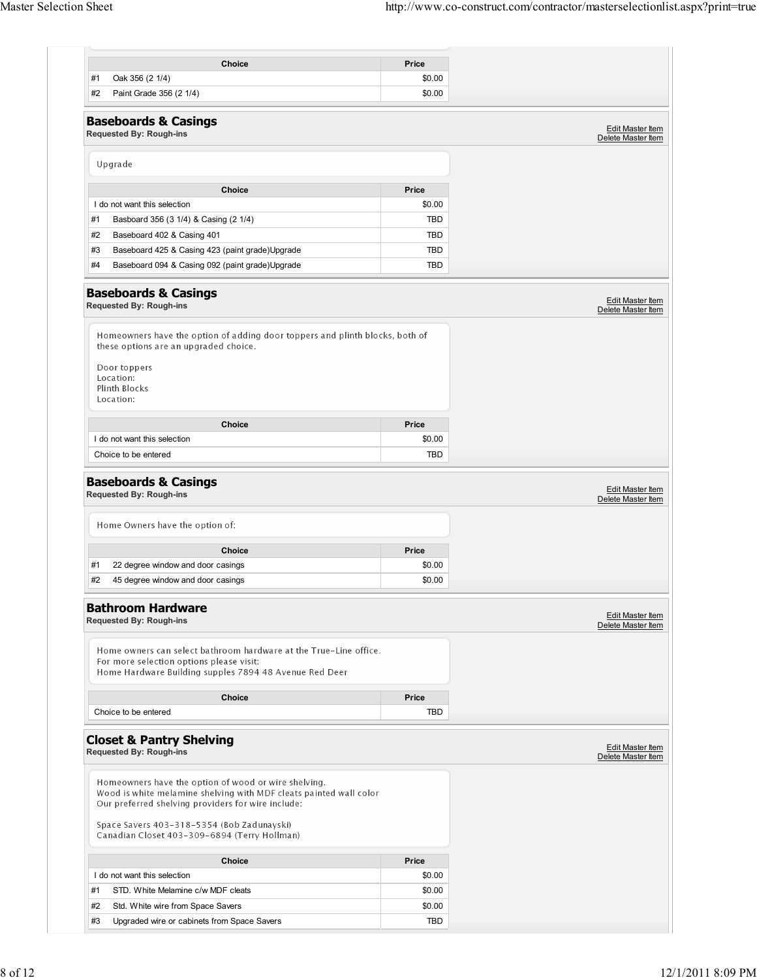| <b>Choice</b>                                                                                                                                                                    | Price      |                                        |
|----------------------------------------------------------------------------------------------------------------------------------------------------------------------------------|------------|----------------------------------------|
| #1<br>Oak 356 (2 1/4)                                                                                                                                                            | \$0.00     |                                        |
| #2<br>Paint Grade 356 (2 1/4)                                                                                                                                                    | \$0.00     |                                        |
| <b>Baseboards &amp; Casings</b><br><b>Requested By: Rough-ins</b>                                                                                                                |            | Edit Master Item<br>Delete Master Item |
| Upgrade                                                                                                                                                                          |            |                                        |
| <b>Choice</b>                                                                                                                                                                    | Price      |                                        |
| I do not want this selection                                                                                                                                                     | \$0.00     |                                        |
| #1<br>Basboard 356 (3 1/4) & Casing (2 1/4)                                                                                                                                      | <b>TBD</b> |                                        |
| #2<br>Baseboard 402 & Casing 401                                                                                                                                                 | TBD        |                                        |
| #3<br>Baseboard 425 & Casing 423 (paint grade) Upgrade                                                                                                                           | TBD        |                                        |
| #4<br>Baseboard 094 & Casing 092 (paint grade) Upgrade                                                                                                                           | TBD        |                                        |
| <b>Baseboards &amp; Casings</b><br><b>Requested By: Rough-ins</b>                                                                                                                |            | Edit Master Item<br>Delete Master Item |
| Homeowners have the option of adding door toppers and plinth blocks, both of<br>these options are an upgraded choice.<br>Door toppers<br>Location:<br>Plinth Blocks<br>Location: |            |                                        |
| <b>Choice</b>                                                                                                                                                                    | Price      |                                        |
| I do not want this selection                                                                                                                                                     | \$0.00     |                                        |
| Choice to be entered                                                                                                                                                             | TBD        |                                        |
| Home Owners have the option of:                                                                                                                                                  |            |                                        |
| <b>Choice</b>                                                                                                                                                                    | Price      |                                        |
| 22 degree window and door casings<br>#1                                                                                                                                          | \$0.00     |                                        |
| #2<br>45 degree window and door casings                                                                                                                                          | \$0.00     |                                        |
| <b>Bathroom Hardware</b><br><b>Requested By: Rough-ins</b>                                                                                                                       |            | Edit Master Item<br>Delete Master Item |
| Home owners can select bathroom hardware at the True-Line office.<br>For more selection options please visit:<br>Home Hardware Building supples 7894 48 Avenue Red Deer          |            |                                        |
| <b>Choice</b>                                                                                                                                                                    | Price      |                                        |
| Choice to be entered                                                                                                                                                             | TBD        |                                        |
| <b>Closet &amp; Pantry Shelving</b><br><b>Requested By: Rough-ins</b>                                                                                                            |            | Edit Master Item<br>Delete Master Item |
| Homeowners have the option of wood or wire shelving.<br>Wood is white melamine shelving with MDF cleats painted wall color<br>Our preferred shelving providers for wire include: |            |                                        |
| Space Savers 403-318-5354 (Bob Zadunayski)<br>Canadian Closet 403-309-6894 (Terry Hollman)                                                                                       |            |                                        |
| <b>Choice</b>                                                                                                                                                                    | Price      |                                        |
| I do not want this selection                                                                                                                                                     | \$0.00     |                                        |
| #1<br>STD. White Melamine c/w MDF cleats                                                                                                                                         | \$0.00     |                                        |
| #2<br>Std. White wire from Space Savers                                                                                                                                          | \$0.00     |                                        |
| #3<br>Upgraded wire or cabinets from Space Savers                                                                                                                                | TBD        |                                        |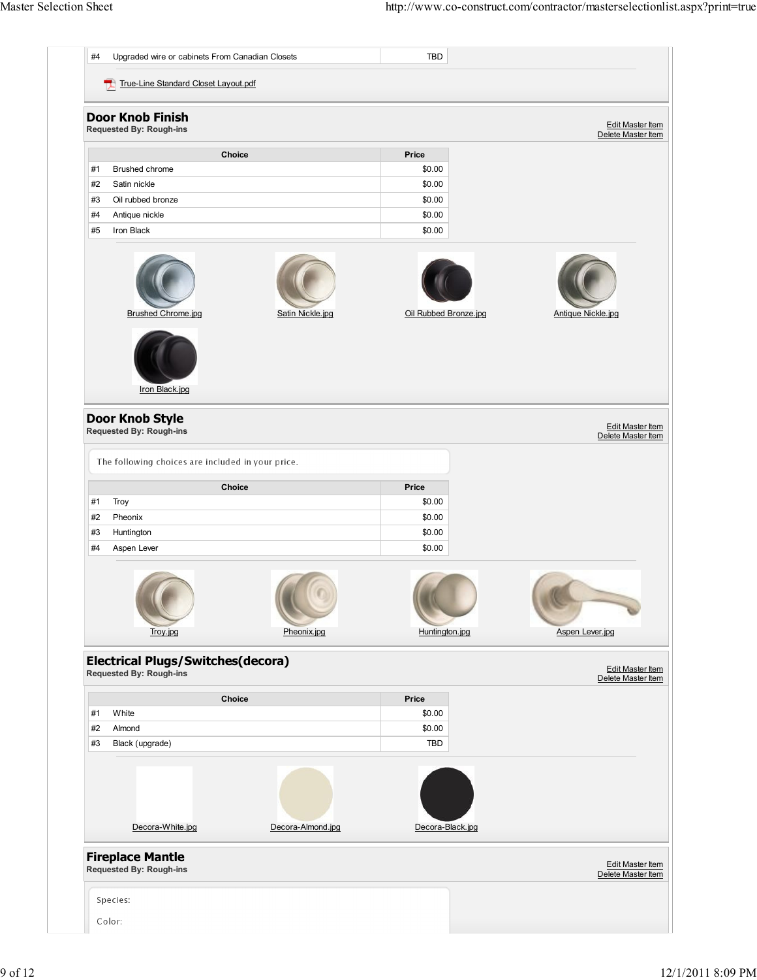| #4                   | Upgraded wire or cabinets From Canadian Closets                            |                   | <b>TBD</b>            |                                                                                         |
|----------------------|----------------------------------------------------------------------------|-------------------|-----------------------|-----------------------------------------------------------------------------------------|
|                      | True-Line Standard Closet Layout.pdf                                       |                   |                       |                                                                                         |
|                      | <b>Door Knob Finish</b>                                                    |                   |                       |                                                                                         |
|                      | <b>Requested By: Rough-ins</b>                                             |                   |                       | <b>Edit Master Item</b><br>Delete Master Item                                           |
|                      | Choice                                                                     |                   | Price                 |                                                                                         |
| #1                   | Brushed chrome                                                             |                   | \$0.00                |                                                                                         |
| #2                   | Satin nickle                                                               |                   | \$0.00                |                                                                                         |
| #3                   | Oil rubbed bronze                                                          |                   | \$0.00                |                                                                                         |
| #4                   | Antique nickle                                                             |                   | \$0.00                |                                                                                         |
| #5                   | Iron Black                                                                 |                   | \$0.00                |                                                                                         |
|                      | <b>Brushed Chrome.jpg</b>                                                  | Satin Nickle.jpg  | Oil Rubbed Bronze.jpg | <b>Antique Nickle.jpg</b>                                                               |
|                      | Iron Black.jpg                                                             |                   |                       |                                                                                         |
|                      | <b>Door Knob Style</b><br><b>Requested By: Rough-ins</b>                   |                   |                       | Edit Master Item<br>Delete Master Item                                                  |
|                      | The following choices are included in your price.                          |                   |                       |                                                                                         |
|                      | Choice                                                                     |                   | Price                 |                                                                                         |
|                      |                                                                            |                   |                       |                                                                                         |
|                      | Troy                                                                       |                   | \$0.00                |                                                                                         |
|                      | Pheonix                                                                    |                   | \$0.00                |                                                                                         |
|                      | Huntington                                                                 |                   | \$0.00                |                                                                                         |
| #1<br>#2<br>#3<br>#4 | Aspen Lever                                                                |                   | \$0.00                |                                                                                         |
|                      | Troy.jpg                                                                   | Pheonix.jpg       | Huntington.jpg        | Aspen Lever.jpg                                                                         |
|                      | <b>Electrical Plugs/Switches(decora)</b><br><b>Requested By: Rough-ins</b> |                   |                       |                                                                                         |
|                      | Choice                                                                     |                   | Price                 |                                                                                         |
|                      | White                                                                      |                   | \$0.00                |                                                                                         |
|                      | Almond                                                                     |                   | \$0.00                |                                                                                         |
|                      | Black (upgrade)                                                            |                   | TBD                   |                                                                                         |
| #1<br>#2<br>#3       |                                                                            |                   |                       |                                                                                         |
|                      | Decora-White.jpg<br><b>Fireplace Mantle</b>                                | Decora-Almond.jpg | Decora-Black.jpg      |                                                                                         |
|                      | <b>Requested By: Rough-ins</b>                                             |                   |                       |                                                                                         |
|                      | Species:                                                                   |                   |                       | <b>Edit Master Item</b><br>Delete Master Item<br>Edit Master Item<br>Delete Master Item |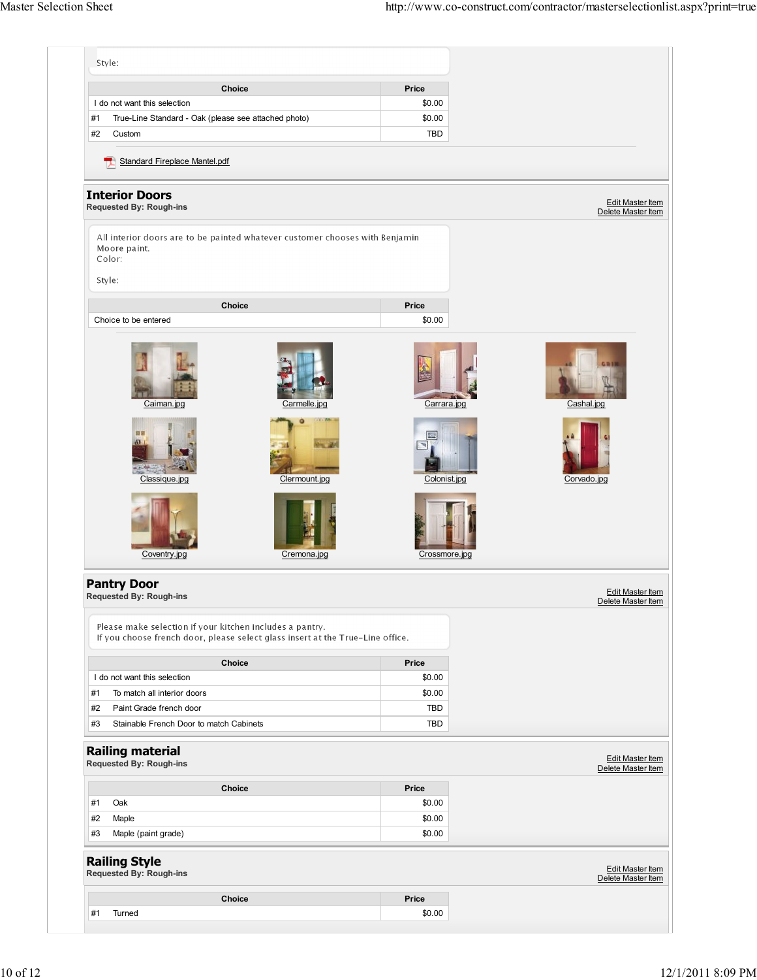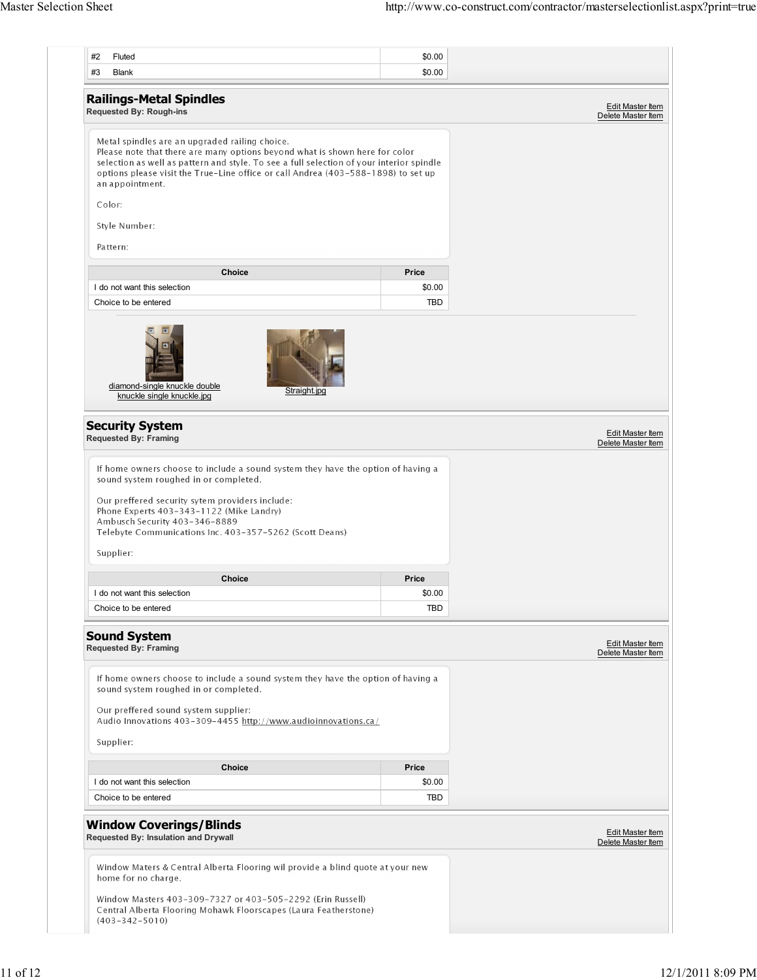| #2       | Fluted                                                                                                                                                                                  | \$0.00     |                                        |
|----------|-----------------------------------------------------------------------------------------------------------------------------------------------------------------------------------------|------------|----------------------------------------|
| #3       | <b>Blank</b>                                                                                                                                                                            | \$0.00     |                                        |
|          |                                                                                                                                                                                         |            |                                        |
|          | <b>Railings-Metal Spindles</b><br><b>Requested By: Rough-ins</b>                                                                                                                        |            | Edit Master Item                       |
|          |                                                                                                                                                                                         |            | Delete Master Item                     |
|          | Metal spindles are an upgraded railing choice.                                                                                                                                          |            |                                        |
|          | Please note that there are many options beyond what is shown here for color                                                                                                             |            |                                        |
|          | selection as well as pattern and style. To see a full selection of your interior spindle                                                                                                |            |                                        |
|          | options please visit the True-Line office or call Andrea (403-588-1898) to set up<br>an appointment.                                                                                    |            |                                        |
|          |                                                                                                                                                                                         |            |                                        |
| Color:   |                                                                                                                                                                                         |            |                                        |
|          | Style Number:                                                                                                                                                                           |            |                                        |
|          |                                                                                                                                                                                         |            |                                        |
| Pattern: |                                                                                                                                                                                         |            |                                        |
|          | <b>Choice</b>                                                                                                                                                                           | Price      |                                        |
|          | I do not want this selection                                                                                                                                                            | \$0.00     |                                        |
|          | Choice to be entered                                                                                                                                                                    | <b>TBD</b> |                                        |
|          |                                                                                                                                                                                         |            |                                        |
|          | diamond-single knuckle double<br>Straight.jpg<br>knuckle single knuckle.jpg                                                                                                             |            |                                        |
|          |                                                                                                                                                                                         |            |                                        |
|          | <b>Security System</b>                                                                                                                                                                  |            |                                        |
|          |                                                                                                                                                                                         |            | Edit Master Item                       |
|          | <b>Requested By: Framing</b><br>If home owners choose to include a sound system they have the option of having a<br>sound system roughed in or completed.                               |            |                                        |
|          | Our preffered security sytem providers include:<br>Phone Experts 403-343-1122 (Mike Landry)<br>Ambusch Security 403-346-8889<br>Telebyte Communications Inc. 403-357-5262 (Scott Deans) |            | Delete Master Item                     |
|          | Supplier:                                                                                                                                                                               |            |                                        |
|          | Choice                                                                                                                                                                                  | Price      |                                        |
|          | I do not want this selection                                                                                                                                                            | \$0.00     |                                        |
|          |                                                                                                                                                                                         |            |                                        |
|          | Choice to be entered                                                                                                                                                                    | <b>TBD</b> |                                        |
|          | <b>Sound System</b><br><b>Requested By: Framing</b>                                                                                                                                     |            |                                        |
|          |                                                                                                                                                                                         |            |                                        |
|          | If home owners choose to include a sound system they have the option of having a                                                                                                        |            |                                        |
|          | sound system roughed in or completed.                                                                                                                                                   |            |                                        |
|          | Our preffered sound system supplier:                                                                                                                                                    |            |                                        |
|          | Audio Innovations 403-309-4455 http://www.audioinnovations.ca/                                                                                                                          |            |                                        |
|          | Supplier:                                                                                                                                                                               |            |                                        |
|          |                                                                                                                                                                                         |            |                                        |
|          | <b>Choice</b>                                                                                                                                                                           | Price      | Edit Master Item<br>Delete Master Item |
|          | I do not want this selection                                                                                                                                                            | \$0.00     |                                        |
|          | Choice to be entered                                                                                                                                                                    | TBD        |                                        |
|          | <b>Window Coverings/Blinds</b><br>Requested By: Insulation and Drywall                                                                                                                  |            |                                        |
|          | Window Maters & Central Alberta Flooring wil provide a blind quote at your new                                                                                                          |            | Edit Master Item<br>Delete Master Item |
|          | home for no charge.                                                                                                                                                                     |            |                                        |
|          | Window Masters 403-309-7327 or 403-505-2292 (Erin Russell)<br>Central Alberta Flooring Mohawk Floorscapes (Laura Featherstone)                                                          |            |                                        |